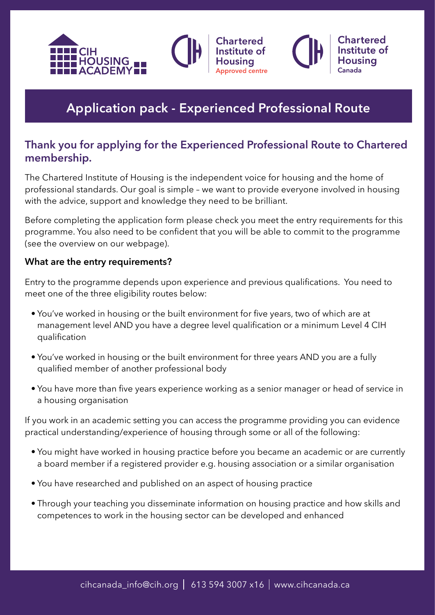



hartered

ed centre

Chartorod

## **Thank you for applying for the Experienced Professional Route to Chartered membership.**

The Chartered Institute of Housing is the independent voice for housing and the home of professional standards. Our goal is simple – we want to provide everyone involved in housing with the advice, support and knowledge they need to be brilliant.

Before completing the application form please check you meet the entry requirements for this programme. You also need to be confident that you will be able to commit to the programme (see the overview on our webpage).

#### **What are the entry requirements?**

Entry to the programme depends upon experience and previous qualifications. You need to meet one of the three eligibility routes below:

- You've worked in housing or the built environment for five years, two of which are at management level AND you have a degree level qualification or a minimum Level 4 CIH qualification
- You've worked in housing or the built environment for three years AND you are a fully qualified member of another professional body
- You have more than five years experience working as a senior manager or head of service in a housing organisation

If you work in an academic setting you can access the programme providing you can evidence practical understanding/experience of housing through some or all of the following:

- You might have worked in housing practice before you became an academic or are currently a board member if a registered provider e.g. housing association or a similar organisation
- You have researched and published on an aspect of housing practice
- Through your teaching you disseminate information on housing practice and how skills and competences to work in the housing sector can be developed and enhanced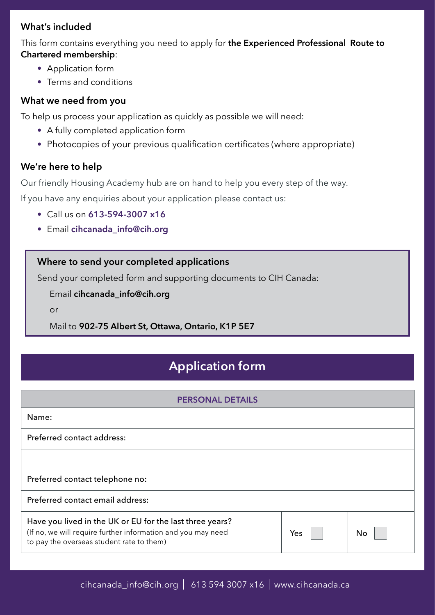## **What's included**

This form contains everything you need to apply for **the Experienced Professional Route to Chartered membership**:

- Application form
- Terms and conditions

### **What we need from you**

To help us process your application as quickly as possible we will need:

- A fully completed application form
- Photocopies of your previous qualification certificates (where appropriate)

## **We're here to help**

Our friendly Housing Academy hub are on hand to help you every step of the way.

If you have any enquiries about your application please contact us:

- Call us on **613-594-3007 x16**
- Email **cihcanada\_info@cih.org**

## **Where to send your completed applications**

Send your completed form and supporting documents to CIH Canada:

Email **cihcanada\_info@cih.org**

or

Mail to **902-75 Albert St, Ottawa, Ontario, K1P 5E7**

# **Application form**

| <b>PERSONAL DETAILS</b>                                                                                                                                               |     |    |  |
|-----------------------------------------------------------------------------------------------------------------------------------------------------------------------|-----|----|--|
| Name:                                                                                                                                                                 |     |    |  |
| Preferred contact address:                                                                                                                                            |     |    |  |
|                                                                                                                                                                       |     |    |  |
| Preferred contact telephone no:                                                                                                                                       |     |    |  |
| Preferred contact email address:                                                                                                                                      |     |    |  |
| Have you lived in the UK or EU for the last three years?<br>(If no, we will require further information and you may need<br>to pay the overseas student rate to them) | Yes | No |  |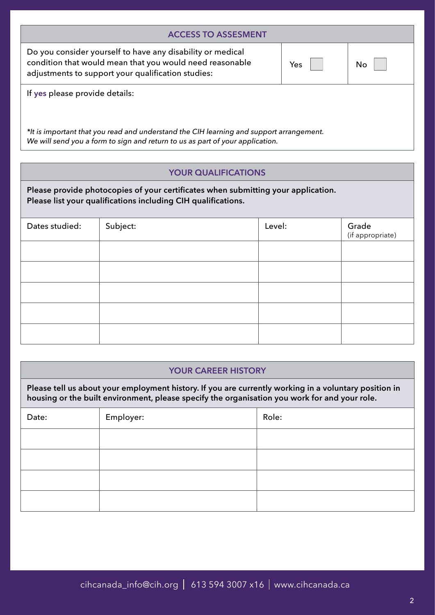| <b>ACCESS TO ASSESMENT</b>                                                                                                                                                   |     |    |  |
|------------------------------------------------------------------------------------------------------------------------------------------------------------------------------|-----|----|--|
| Do you consider yourself to have any disability or medical<br>condition that would mean that you would need reasonable<br>adjustments to support your qualification studies: | Yes | No |  |
| If yes please provide details:                                                                                                                                               |     |    |  |
| *It is important that you read and understand the CIH learning and support arrangement.<br>We will send you a form to sign and return to us as part of your application.     |     |    |  |

#### **YOUR QUALIFICATIONS**

**Please provide photocopies of your certificates when submitting your application. Please list your qualifications including CIH qualifications.**

| Dates studied: | Subject: | Level: | Grade<br>(if appropriate) |
|----------------|----------|--------|---------------------------|
|                |          |        |                           |
|                |          |        |                           |
|                |          |        |                           |
|                |          |        |                           |
|                |          |        |                           |

#### **YOUR CAREER HISTORY**

**Please tell us about your employment history. If you are currently working in a voluntary position in housing or the built environment, please specify the organisation you work for and your role.**

| Date: | Employer: | Role: |
|-------|-----------|-------|
|       |           |       |
|       |           |       |
|       |           |       |
|       |           |       |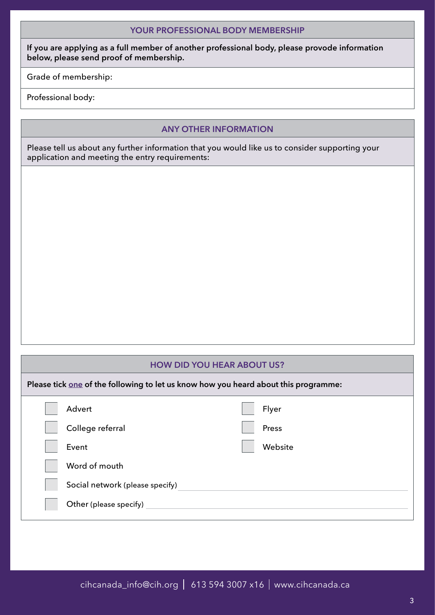**If you are applying as a full member of another professional body, please provode information below, please send proof of membership.**

Grade of membership:

Professional body:

#### **ANY OTHER INFORMATION**

Please tell us about any further information that you would like us to consider supporting your application and meeting the entry requirements:

#### **HOW DID YOU HEAR ABOUT US?**

**Please tick one of the following to let us know how you heard about this programme:**

| Advert                          | Flyer   |
|---------------------------------|---------|
| College referral                | Press   |
| Event                           | Website |
| Word of mouth                   |         |
| Social network (please specify) |         |
| Other (please specify)          |         |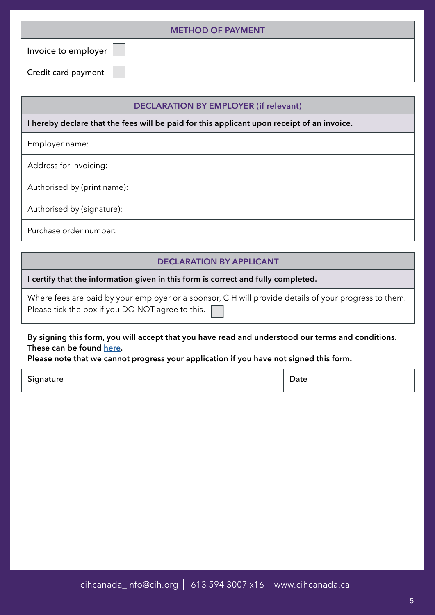| <b>METHOD OF PAYMENT</b> |
|--------------------------|
| Invoice to employer      |
| Credit card payment      |

#### **DECLARATION BY EMPLOYER (if relevant)**

**I hereby declare that the fees will be paid for this applicant upon receipt of an invoice.**

Employer name:

Address for invoicing:

Authorised by (print name):

Authorised by (signature):

Purchase order number:

#### **DECLARATION BY APPLICANT**

**I certify that the information given in this form is correct and fully completed.**

|                                                  | Where fees are paid by your employer or a sponsor, CIH will provide details of your progress to them. |
|--------------------------------------------------|-------------------------------------------------------------------------------------------------------|
| Please tick the box if you DO NOT agree to this. |                                                                                                       |

**By signing this form, you will accept that you have read and understood our terms and conditions. These can be found [here](http://www.cih.org/resources/housingacademy/Final%20Terms%20and%20Conditions%20April%202018.pdf).**

**Please note that we cannot progress your application if you have not signed this form.**

| Signature | Date |
|-----------|------|
|           |      |